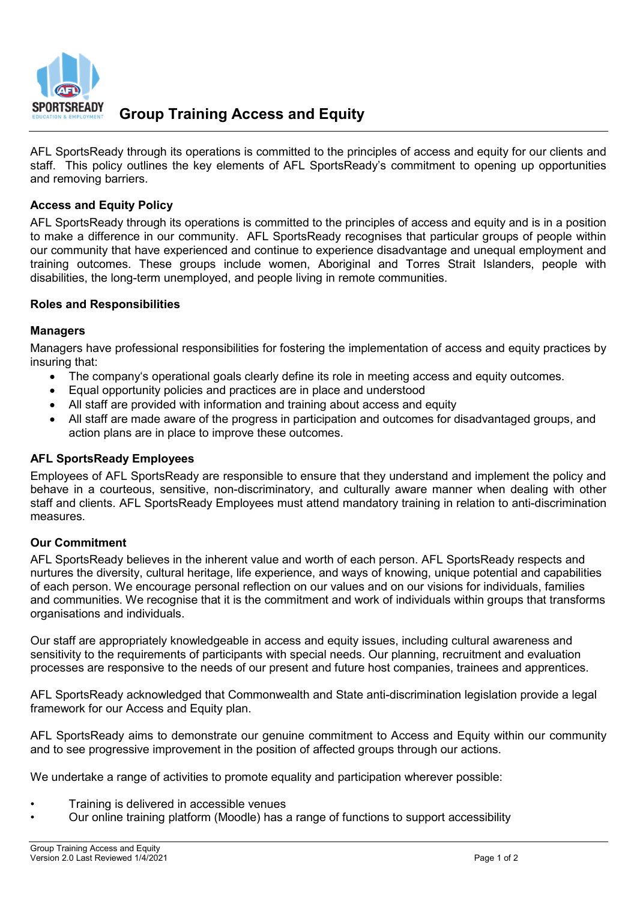

AFL SportsReady through its operations is committed to the principles of access and equity for our clients and staff. This policy outlines the key elements of AFL SportsReady's commitment to opening up opportunities and removing barriers.

## **Access and Equity Policy**

AFL SportsReady through its operations is committed to the principles of access and equity and is in a position to make a difference in our community. AFL SportsReady recognises that particular groups of people within our community that have experienced and continue to experience disadvantage and unequal employment and training outcomes. These groups include women, Aboriginal and Torres Strait Islanders, people with disabilities, the long-term unemployed, and people living in remote communities.

### **Roles and Responsibilities**

#### **Managers**

Managers have professional responsibilities for fostering the implementation of access and equity practices by insuring that:

- The company's operational goals clearly define its role in meeting access and equity outcomes.
- Equal opportunity policies and practices are in place and understood
- All staff are provided with information and training about access and equity
- All staff are made aware of the progress in participation and outcomes for disadvantaged groups, and action plans are in place to improve these outcomes.

### **AFL SportsReady Employees**

Employees of AFL SportsReady are responsible to ensure that they understand and implement the policy and behave in a courteous, sensitive, non-discriminatory, and culturally aware manner when dealing with other staff and clients. AFL SportsReady Employees must attend mandatory training in relation to anti-discrimination measures.

#### **Our Commitment**

AFL SportsReady believes in the inherent value and worth of each person. AFL SportsReady respects and nurtures the diversity, cultural heritage, life experience, and ways of knowing, unique potential and capabilities of each person. We encourage personal reflection on our values and on our visions for individuals, families and communities. We recognise that it is the commitment and work of individuals within groups that transforms organisations and individuals.

Our staff are appropriately knowledgeable in access and equity issues, including cultural awareness and sensitivity to the requirements of participants with special needs. Our planning, recruitment and evaluation processes are responsive to the needs of our present and future host companies, trainees and apprentices.

AFL SportsReady acknowledged that Commonwealth and State anti-discrimination legislation provide a legal framework for our Access and Equity plan.

AFL SportsReady aims to demonstrate our genuine commitment to Access and Equity within our community and to see progressive improvement in the position of affected groups through our actions.

We undertake a range of activities to promote equality and participation wherever possible:

- Training is delivered in accessible venues
- Our online training platform (Moodle) has a range of functions to support accessibility